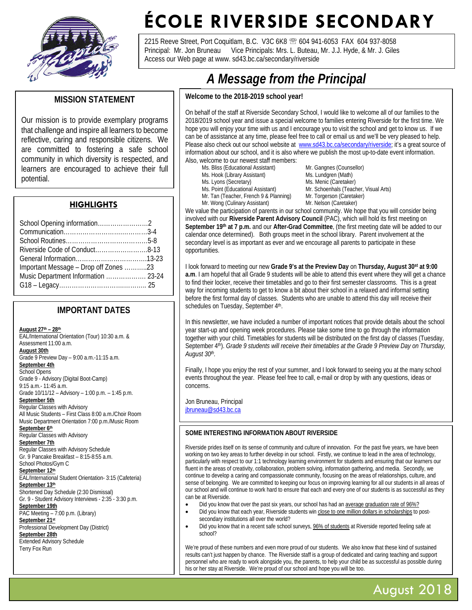

# **ÉCOLE RIVERSIDE SECONDARY**

2215 Reeve Street, Port Coquitlam, B.C. V3C 6K8 <sup>28</sup> 604 941-6053 FAX 604 937-8058 Principal: Mr. Jon Bruneau Vice Principals: Mrs. L. Buteau, Mr. J.J. Hyde, & Mr. J. Giles Access our Web page at www. sd43.bc.ca/secondary/riverside

## **MISSION STATEMENT**

Our mission is to provide exemplary programs that challenge and inspire all learners to become reflective, caring and responsible citizens. We are committed to fostering a safe school community in which diversity is respected, and learners are encouraged to achieve their full potential.

## **HIGHLIGHTS**

| Important Message – Drop off Zones 23 |  |
|---------------------------------------|--|
| Music Department Information  23-24   |  |
|                                       |  |

## **IMPORTANT DATES**

**August 27th – 28th** EAL/International Orientation (Tour) 10:30 a.m. & Assessment 11:00 a.m. **August 30th** Grade 9 Preview Day – 9:00 a.m.-11:15 a.m. **September 4th** School Opens Grade 9 - Advisory (Digital Boot-Camp) 9:15 a.m.- 11:45 a.m. Grade 10/11/12 – Advisory – 1:00 p.m. – 1:45 p.m. **September 5th** Regular Classes with Advisory All Music Students – First Class 8:00 a.m./Choir Room Music Department Orientation 7:00 p.m./Music Room **September 6th** Regular Classes with Advisory **September 7th** Regular Classes with Advisory Schedule Gr. 9 Pancake Breakfast – 8:15-8:55 a.m. School Photos/Gym C **September 12th** EAL/International Student Orientation- 3:15 (Cafeteria) **September 13th** Shortened Day Schedule (2:30 Dismissal) Gr. 9 - Student Advisory Interviews - 2:35 - 3:30 p.m. **September 19th** PAC Meeting - 7:00 p.m. (Library) **September 21st** Professional Development Day (District) **September 28th** Extended Advisory Schedule Terry Fox Run

## $$ A Message from the Principal

#### Welcome to the 2018-2019 school year!

 On behalf of the staff at Riverside Secondary School, I would like to welcome all of our families to the 2018/2019 school year and issue a special welcome to families entering Riverside for the first time. We hope you will enjoy your time with us and I encourage you to visit the school and get to know us. If we can be of assistance at any time, please feel free to call or email us and we'll be very pleased to help. Please also check out our school website at [www.sd43.bc.ca/secondary/riverside;](http://www.sd43.bc.ca/secondary/riverside) it's a great source of information about our school, and it is also where we publish the most up-to-date event information. Also, welcome to our newest staff members:

- 
- Ms. Hook (Library Assistant)
- 
- 
- 
- Mr. Wong (Culinary Assistant)

Ms. Bliss (Educational Assistant) Mr. Gangnes (Counsellor)<br>
Ms. Hook (Library Assistant) Ms. Lundgren (Math) Ms. Lyons (Secretary) Ms. Menic (Caretaker)<br>
Ms. Point (Educational Assistant) Mr. Schoenhals (Teach Mr. Schoenhals (Teacher, Visual Arts)<br>Mr. Torgerson (Caretaker) Mr. Tan (Teacher, French 9 & Planning) Mr. Torgerson (Caretak<br>Mr. Wong (Culinary Assistant) Mr. Nelson (Caretaker)

We value the participation of parents in our school community. We hope that you will consider being involved with our **Riverside Parent Advisory Council** (PAC), which will hold its first meeting on **September 19th at 7 p.m.** and our **After-Grad Committee**, (the first meeting date will be added to our calendar once determined).Both groups meet in the school library. Parent involvement at the secondary level is as important as ever and we encourage all parents to participate in these opportunities.

I look forward to meeting our new **Grade 9's at the Preview Day** on **Thursday, August 30st at 9:00 a.m**. I am hopeful that all Grade 9 students will be able to attend this event where they will get a chance to find their locker, receive their timetables and go to their first semester classrooms. This is a great way for incoming students to get to know a bit about their school in a relaxed and informal setting before the first formal day of classes. Students who are unable to attend this day will receive their schedules on Tuesday, September 4th.

In this newsletter, we have included a number of important notices that provide details about the school year start-up and opening week procedures. Please take some time to go through the information together with your child. Timetables for students will be distributed on the first day of classes (Tuesday, September 4<sup>th</sup>). *Grade 9 students will receive their timetables at the Grade 9 Preview Day on Thursday, August 30th.*

Finally, I hope you enjoy the rest of your summer, and I look forward to seeing you at the many school events throughout the year. Please feel free to call, e-mail or drop by with any questions, ideas or concerns.

Jon Bruneau, Principal [jbruneau@sd43.bc.ca](mailto:jbruneau@sd43.bc.ca)

#### **SOME INTERESTING INFORMATION ABOUT RIVERSIDE**

Riverside prides itself on its sense of community and culture of innovation. For the past five years, we have been working on two key areas to further develop in our school. Firstly, we continue to lead in the area of technology, particularly with respect to our 1:1 technology learning environment for students and ensuring that our learners our fluent in the areas of creativity, collaboration, problem solving, information gathering, and media. Secondly, we continue to develop a caring and compassionate community, focusing on the areas of relationships, culture, and sense of belonging. We are committed to keeping our focus on improving learning for all our students in all areas of our school and will continue to work hard to ensure that each and every one of our students is as successful as they can be at Riverside.

- Did you know that over the past six years, our school has had an average graduation rate of 96%?
- Did you know that each year, Riverside students win close to one million dollars in scholarships to postsecondary institutions all over the world?
- Did you know that in a recent safe school surveys, 96% of students at Riverside reported feeling safe at school?

.<br>his or her stay at Riverside. We're proud of our school and hope you will be too. We're proud of these numbers and even more proud of our students. We also know that these kind of sustained results can't just happen by chance. The Riverside staff is a group of dedicated and caring teaching and support personnel who are ready to work alongside you, the parents, to help your child be as successful as possible during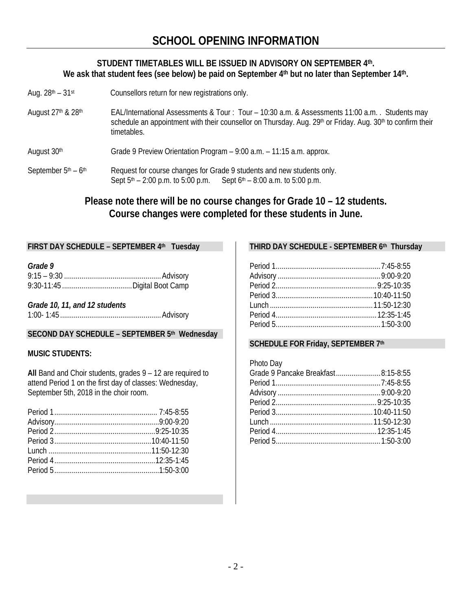## **STUDENT TIMETABLES WILL BE ISSUED IN ADVISORY ON SEPTEMBER 4th. We ask that student fees (see below) be paid on September 4th but no later than September 14th.**

- Aug.  $28<sup>th</sup> 31<sup>st</sup>$  Counsellors return for new registrations only.
- August 27<sup>th</sup> & 28<sup>th</sup> EAL/International Assessments & Tour : Tour 10:30 a.m. & Assessments 11:00 a.m. . Students may schedule an appointment with their counsellor on Thursday. Aug. 29<sup>th</sup> or Friday. Aug. 30<sup>th</sup> to confirm their timetables.
- August  $30<sup>th</sup>$  Grade 9 Preview Orientation Program 9:00 a.m. 11:15 a.m. approx.
- September  $5<sup>th</sup> 6<sup>th</sup>$  Request for course changes for Grade 9 students and new students only. Sept  $5<sup>th</sup> - 2:00$  p.m. to  $5:00$  p.m. Sept  $6<sup>th</sup> - 8:00$  a.m. to  $5:00$  p.m.

**Please note there will be no course changes for Grade 10 – 12 students. Course changes were completed for these students in June.**

## **FIRST DAY SCHEDULE – SEPTEMBER 4th Tuesday**

#### *Grade 9*

*Grade 10, 11, and 12 students* 1:00- 1:45 ....................................................Advisory

## **SECOND DAY SCHEDULE – SEPTEMBER 5th Wednesday**

## **MUSIC STUDENTS:**

**All** Band and Choir students, grades 9 – 12 are required to attend Period 1 on the first day of classes: Wednesday, September 5th, 2018 in the choir room.

## **THIRD DAY SCHEDULE - SEPTEMBER 6th Thursday**

## **SCHEDULE FOR Friday, SEPTEMBER 7th**

Photo Day

| Grade 9 Pancake Breakfast8:15-8:55 |  |
|------------------------------------|--|
|                                    |  |
|                                    |  |
|                                    |  |
|                                    |  |
|                                    |  |
|                                    |  |
|                                    |  |
|                                    |  |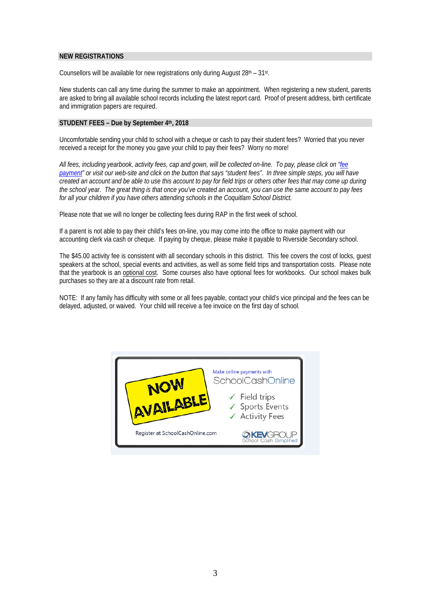#### **NEW REGISTRATIONS**

Counsellors will be available for new registrations only during August  $28<sup>th</sup> - 31<sup>st</sup>$ .

New students can call any time during the summer to make an appointment. When registering a new student, parents are asked to bring all available school records including the latest report card. Proof of present address, birth certificate and immigration papers are required.

#### **STUDENT FEES – Due by September 4th, 2018**

Uncomfortable sending your child to school with a cheque or cash to pay their student fees? Worried that you never received a receipt for the money you gave your child to pay their fees? Worry no more!

*All fees, including yearbook, activity fees, cap and gown, will be collected on-line. To pay, please click on ["fee](http://www.sd43.bc.ca/secondary/riverside/Pages/default.aspx)  [payment"](http://www.sd43.bc.ca/secondary/riverside/Pages/default.aspx) or visit our web-site and click on the button that says "student fees". In three simple steps, you will have created an account and be able to use this account to pay for field trips or others other fees that may come up during the school year. The great thing is that once you've created an account, you can use the same account to pay fees for all your children if you have others attending schools in the Coquitlam School District.*

Please note that we will no longer be collecting fees during RAP in the first week of school.

If a parent is not able to pay their child's fees on-line, you may come into the office to make payment with our accounting clerk via cash or cheque. If paying by cheque, please make it payable to Riverside Secondary school.

The \$45.00 activity fee is consistent with all secondary schools in this district. This fee covers the cost of locks, guest speakers at the school, special events and activities, as well as some field trips and transportation costs. Please note that the yearbook is an optional cost. Some courses also have optional fees for workbooks. Our school makes bulk purchases so they are at a discount rate from retail.

NOTE: If any family has difficulty with some or all fees payable, contact your child's vice principal and the fees can be delayed, adjusted, or waived. Your child will receive a fee invoice on the first day of school.

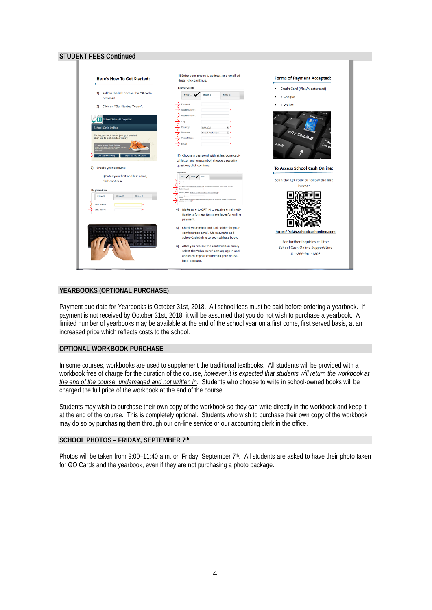## **STUDENT FEES Continued**



#### **YEARBOOKS (OPTIONAL PURCHASE)**

Payment due date for Yearbooks is October 31st, 2018. All school fees must be paid before ordering a yearbook. If payment is not received by October 31st, 2018, it will be assumed that you do not wish to purchase a yearbook. A limited number of yearbooks may be available at the end of the school year on a first come, first served basis, at an increased price which reflects costs to the school.

#### **OPTIONAL WORKBOOK PURCHASE**

In some courses, workbooks are used to supplement the traditional textbooks. All students will be provided with a workbook free of charge for the duration of the course, *however it is expected that students will return the workbook at the end of the course, undamaged and not written in*. Students who choose to write in school-owned books will be charged the full price of the workbook at the end of the course.

Students may wish to purchase their own copy of the workbook so they can write directly in the workbook and keep it at the end of the course. This is completely optional. Students who wish to purchase their own copy of the workbook may do so by purchasing them through our on-line service or our accounting clerk in the office.

#### **SCHOOL PHOTOS – FRIDAY, SEPTEMBER 7th**

Photos will be taken from 9:00–11:40 a.m. on Friday, September  $7<sup>th</sup>$ . All students are asked to have their photo taken for GO Cards and the yearbook, even if they are not purchasing a photo package.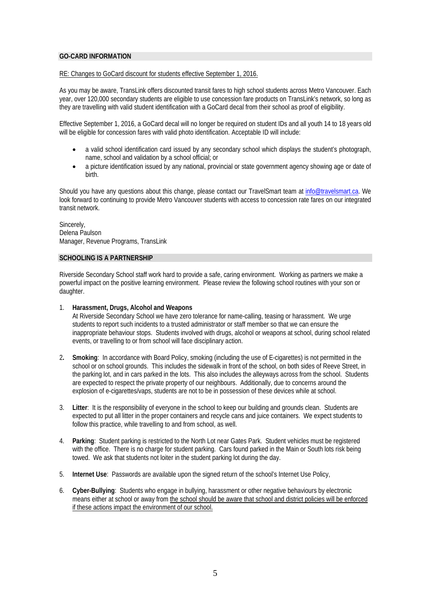#### **GO-CARD INFORMATION**

#### RE: Changes to GoCard discount for students effective September 1, 2016.

As you may be aware, TransLink offers discounted transit fares to high school students across Metro Vancouver. Each year, over 120,000 secondary students are eligible to use concession fare products on TransLink's network, so long as they are travelling with valid student identification with a GoCard decal from their school as proof of eligibility.

Effective September 1, 2016, a GoCard decal will no longer be required on student IDs and all youth 14 to 18 years old will be eligible for concession fares with valid photo identification. Acceptable ID will include:

- a valid school identification card issued by any secondary school which displays the student's photograph, name, school and validation by a school official; or
- a picture identification issued by any national, provincial or state government agency showing age or date of birth.

Should you have any questions about this change, please contact our TravelSmart team at info@travelsmart.ca. We look forward to continuing to provide Metro Vancouver students with access to concession rate fares on our integrated transit network.

Sincerely, Delena Paulson Manager, Revenue Programs, TransLink

#### **SCHOOLING IS A PARTNERSHIP**

Riverside Secondary School staff work hard to provide a safe, caring environment. Working as partners we make a powerful impact on the positive learning environment. Please review the following school routines with your son or daughter.

#### 1. **Harassment, Drugs, Alcohol and Weapons**

At Riverside Secondary School we have zero tolerance for name-calling, teasing or harassment. We urge students to report such incidents to a trusted administrator or staff member so that we can ensure the inappropriate behaviour stops. Students involved with drugs, alcohol or weapons at school, during school related events, or travelling to or from school will face disciplinary action.

- 2**. Smoking**: In accordance with Board Policy, smoking (including the use of E-cigarettes) is not permitted in the school or on school grounds. This includes the sidewalk in front of the school, on both sides of Reeve Street, in the parking lot, and in cars parked in the lots. This also includes the alleyways across from the school. Students are expected to respect the private property of our neighbours. Additionally, due to concerns around the explosion of e-cigarettes/vaps, students are not to be in possession of these devices while at school.
- 3. **Litter**: It is the responsibility of everyone in the school to keep our building and grounds clean. Students are expected to put all litter in the proper containers and recycle cans and juice containers. We expect students to follow this practice, while travelling to and from school, as well.
- 4. **Parking**: Student parking is restricted to the North Lot near Gates Park. Student vehicles must be registered with the office. There is no charge for student parking. Cars found parked in the Main or South lots risk being towed. We ask that students not loiter in the student parking lot during the day.
- 5. **Internet Use**: Passwords are available upon the signed return of the school's Internet Use Policy,
- 6. **Cyber-Bullying**: Students who engage in bullying, harassment or other negative behaviours by electronic means either at school or away from the school should be aware that school and district policies will be enforced if these actions impact the environment of our school.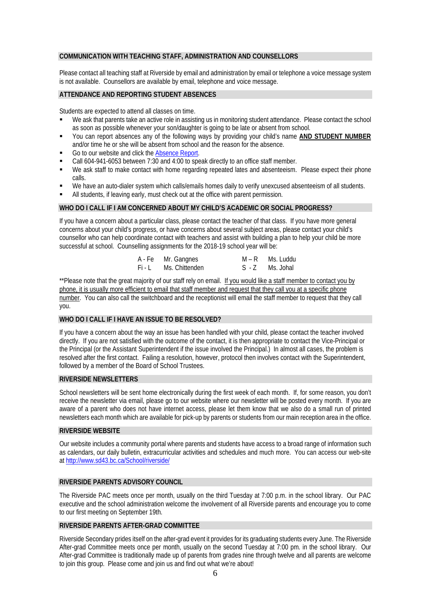#### **COMMUNICATION WITH TEACHING STAFF, ADMINISTRATION AND COUNSELLORS**

Please contact all teaching staff at Riverside by email and administration by email or telephone a voice message system is not available. Counsellors are available by email, telephone and voice message.

#### **ATTENDANCE AND REPORTING STUDENT ABSENCES**

Students are expected to attend all classes on time.

- We ask that parents take an active role in assisting us in monitoring student attendance. Please contact the school as soon as possible whenever your son/daughter is going to be late or absent from school.
- You can report absences any of the following ways by providing your child's name **AND STUDENT NUMBER** and/or time he or she will be absent from school and the reason for the absence.
- Go to our website and click th[e Absence Report.](https://www2010.sd43.bc.ca/eforms/_layouts/FormServer.aspx?XsnLocation=https://www2010.sd43.bc.ca/eforms/AbsenceReportForm/Forms/template.xsn&SaveLocation=https://www2010.sd43.bc.ca/eforms/AbsenceReportForm&ClientInstalled=true&Source=https://www2010.sd43.bc.ca/eforms/AbsenceReportForm/Forms/AllItems.aspx&DefaultItemOpen=1)
- Call 604-941-6053 between 7:30 and 4:00 to speak directly to an office staff member.
- We ask staff to make contact with home regarding repeated lates and absenteeism. Please expect their phone calls.
- We have an auto-dialer system which calls/emails homes daily to verify unexcused absenteeism of all students.
- All students, if leaving early, must check out at the office with parent permission.

#### **WHO DO I CALL IF I AM CONCERNED ABOUT MY CHILD'S ACADEMIC OR SOCIAL PROGRESS?**

If you have a concern about a particular class, please contact the teacher of that class. If you have more general concerns about your child's progress, or have concerns about several subject areas, please contact your child's counsellor who can help coordinate contact with teachers and assist with building a plan to help your child be more successful at school. Counselling assignments for the 2018-19 school year will be:

| A - Fe Mr. Gangnes    | M – R Ms. Luddu |
|-----------------------|-----------------|
| Fi - L Ms. Chittenden | S-Z Ms. Johal   |

\*\*Please note that the great majority of our staff rely on email. If you would like a staff member to contact you by phone, it is usually more efficient to email that staff member and request that they call you at a specific phone number. You can also call the switchboard and the receptionist will email the staff member to request that they call you.

#### **WHO DO I CALL IF I HAVE AN ISSUE TO BE RESOLVED?**

If you have a concern about the way an issue has been handled with your child, please contact the teacher involved directly. If you are not satisfied with the outcome of the contact, it is then appropriate to contact the Vice-Principal or the Principal (or the Assistant Superintendent if the issue involved the Principal.) In almost all cases, the problem is resolved after the first contact. Failing a resolution, however, protocol then involves contact with the Superintendent, followed by a member of the Board of School Trustees.

#### **RIVERSIDE NEWSLETTERS**

School newsletters will be sent home electronically during the first week of each month. If, for some reason, you don't receive the newsletter via email, please go to our website where our newsletter will be posted every month. If you are aware of a parent who does not have internet access, please let them know that we also do a small run of printed newsletters each month which are available for pick-up by parents or students from our main reception area in the office.

#### **RIVERSIDE WEBSITE**

Our website includes a community portal where parents and students have access to a broad range of information such as calendars, our daily bulletin, extracurricular activities and schedules and much more. You can access our web-site at [http://www.sd43.bc.ca/School/riverside/](http://www.sd43.bc.ca/School/riverside/Pages/default.aspx)

#### **RIVERSIDE PARENTS ADVISORY COUNCIL**

The Riverside PAC meets once per month, usually on the third Tuesday at 7:00 p.m. in the school library. Our PAC executive and the school administration welcome the involvement of all Riverside parents and encourage you to come to our first meeting on September 19th.

#### **RIVERSIDE PARENTS AFTER-GRAD COMMITTEE**

Riverside Secondary prides itself on the after-grad event it provides for its graduating students every June. The Riverside After-grad Committee meets once per month, usually on the second Tuesday at 7:00 pm. in the school library. Our After-grad Committee is traditionally made up of parents from grades nine through twelve and all parents are welcome to join this group. Please come and join us and find out what we're about!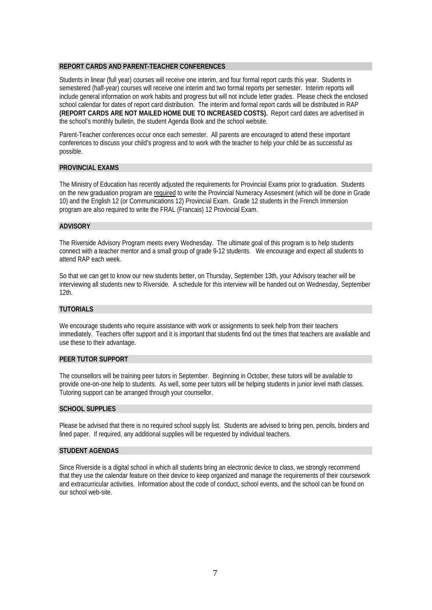#### **REPORT CARDS AND PARENT-TEACHER CONFERENCES**

Students in linear (full year) courses will receive one interim, and four formal report cards this year. Students in semestered (half-year) courses will receive one interim and two formal reports per semester. Interim reports will include general information on work habits and progress but will not include letter grades. Please check the enclosed school calendar for dates of report card distribution. The interim and formal report cards will be distributed in RAP **(REPORT CARDS ARE NOT MAILED HOME DUE TO INCREASED COSTS).** Report card dates are advertised in the school's monthly bulletin, the student Agenda Book and the school website.

Parent-Teacher conferences occur once each semester. All parents are encouraged to attend these important conferences to discuss your child's progress and to work with the teacher to help your child be as successful as possible.

#### **PROVINCIAL EXAMS**

The Ministry of Education has recently adjusted the requirements for Provincial Exams prior to graduation. Students on the new graduation program are required to write the Provincial Numeracy Assesment (which will be done in Grade 10) and the English 12 (or Communications 12) Provincial Exam. Grade 12 students in the French Immersion program are also required to write the FRAL (Francais) 12 Provincial Exam.

#### **ADVISORY**

The Riverside Advisory Program meets every Wednesday. The ultimate goal of this program is to help students connect with a teacher mentor and a small group of grade 9-12 students. We encourage and expect all students to attend RAP each week.

So that we can get to know our new students better, on Thursday, September 13th, your Advisory teacher will be interviewing all students new to Riverside. A schedule for this interview will be handed out on Wednesday, September 12th.

#### **TUTORIALS**

We encourage students who require assistance with work or assignments to seek help from their teachers immediately. Teachers offer support and it is important that students find out the times that teachers are available and use these to their advantage.

#### **PEER TUTOR SUPPORT**

The counsellors will be training peer tutors in September. Beginning in October, these tutors will be available to provide one-on-one help to students. As well, some peer tutors will be helping students in junior level math classes. Tutoring support can be arranged through your counsellor.

#### **SCHOOL SUPPLIES**

Please be advised that there is no required school supply list. Students are advised to bring pen, pencils, binders and lined paper. If required, any additional supplies will be requested by individual teachers.

#### **STUDENT AGENDAS**

Since Riverside is a digital school in which all students bring an electronic device to class, we strongly recommend that they use the calendar feature on their device to keep organized and manage the requirements of their coursework and extracurricular activities. Information about the code of conduct, school events, and the school can be found on our school web-site.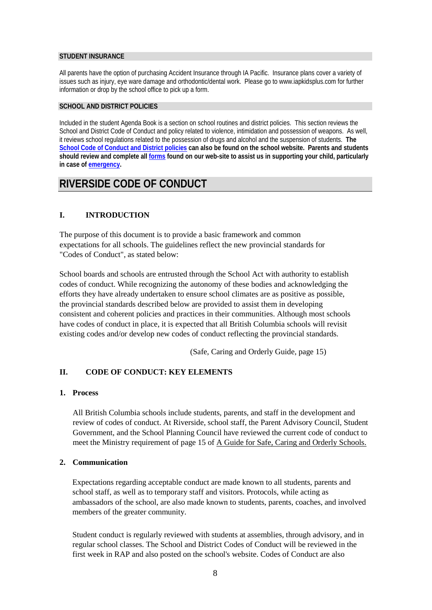#### **STUDENT INSURANCE**

All parents have the option of purchasing Accident Insurance through IA Pacific. Insurance plans cover a variety of issues such as injury, eye ware damage and orthodontic/dental work. Please go to www.iapkidsplus.com for further information or drop by the school office to pick up a form.

#### **SCHOOL AND DISTRICT POLICIES**

Included in the student Agenda Book is a section on school routines and district policies. This section reviews the School and District Code of Conduct and policy related to violence, intimidation and possession of weapons. As well, it reviews school regulations related to the possession of drugs and alcohol and the suspension of students. **The [School Code of Conduct and District policies](http://www.sd43.bc.ca/secondary/riverside/Publications/Code%20of%20Conduct%20and%20General%20Information%202015-2016.pdf) can also be found on the school website. Parents and students should review and complete al[l forms](https://www2010.sd43.bc.ca/eforms/_layouts/FormServer.aspx?XsnLocation=https://www2010.sd43.bc.ca/eforms/FormServerTemplates/SchoolPolicyForm.xsn&SaveLocation=https%3A%2F%2Fwww2010%2Esd43%2Ebc%2Eca%2Feforms%2FSchoolPolicyForm&ClientInstalled=true&Source=https%3A%2F%2Fwww2010%2Esd43%2Ebc%2Eca%2Feforms%2FSchoolPolicyForm%2FForms%2FAllItems%2Easpx&DefaultItemOpen=1) found on our web-site to assist us in supporting your child, particularly in case of [emergency.](https://www2010.sd43.bc.ca/eforms/PrinteForms/EmergencyReleaseNew.pdf)**

## **RIVERSIDE CODE OF CONDUCT**

## **I. INTRODUCTION**

The purpose of this document is to provide a basic framework and common expectations for all schools. The guidelines reflect the new provincial standards for "Codes of Conduct", as stated below:

School boards and schools are entrusted through the School Act with authority to establish codes of conduct. While recognizing the autonomy of these bodies and acknowledging the efforts they have already undertaken to ensure school climates are as positive as possible, the provincial standards described below are provided to assist them in developing consistent and coherent policies and practices in their communities. Although most schools have codes of conduct in place, it is expected that all British Columbia schools will revisit existing codes and/or develop new codes of conduct reflecting the provincial standards.

(Safe, Caring and Orderly Guide, page 15)

## **II. CODE OF CONDUCT: KEY ELEMENTS**

## **1. Process**

All British Columbia schools include students, parents, and staff in the development and review of codes of conduct. At Riverside, school staff, the Parent Advisory Council, Student Government, and the School Planning Council have reviewed the current code of conduct to meet the Ministry requirement of page 15 of A Guide for Safe, Caring and Orderly Schools.

## **2. Communication**

Expectations regarding acceptable conduct are made known to all students, parents and school staff, as well as to temporary staff and visitors. Protocols, while acting as ambassadors of the school, are also made known to students, parents, coaches, and involved members of the greater community.

Student conduct is regularly reviewed with students at assemblies, through advisory, and in regular school classes. The School and District Codes of Conduct will be reviewed in the first week in RAP and also posted on the school's website. Codes of Conduct are also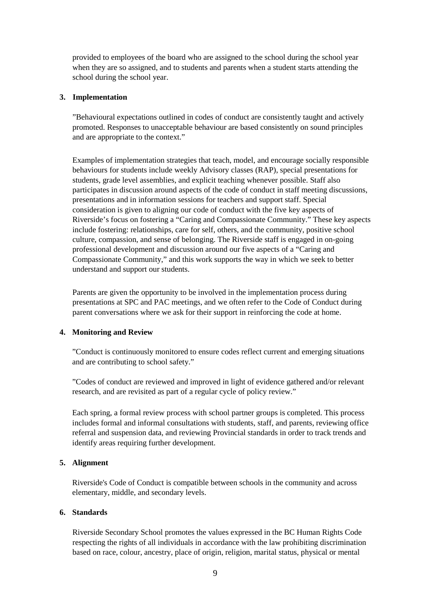provided to employees of the board who are assigned to the school during the school year when they are so assigned, and to students and parents when a student starts attending the school during the school year.

## **3. Implementation**

"Behavioural expectations outlined in codes of conduct are consistently taught and actively promoted. Responses to unacceptable behaviour are based consistently on sound principles and are appropriate to the context."

Examples of implementation strategies that teach, model, and encourage socially responsible behaviours for students include weekly Advisory classes (RAP), special presentations for students, grade level assemblies, and explicit teaching whenever possible. Staff also participates in discussion around aspects of the code of conduct in staff meeting discussions, presentations and in information sessions for teachers and support staff. Special consideration is given to aligning our code of conduct with the five key aspects of Riverside's focus on fostering a "Caring and Compassionate Community." These key aspects include fostering: relationships, care for self, others, and the community, positive school culture, compassion, and sense of belonging. The Riverside staff is engaged in on-going professional development and discussion around our five aspects of a "Caring and Compassionate Community," and this work supports the way in which we seek to better understand and support our students.

Parents are given the opportunity to be involved in the implementation process during presentations at SPC and PAC meetings, and we often refer to the Code of Conduct during parent conversations where we ask for their support in reinforcing the code at home.

## **4. Monitoring and Review**

"Conduct is continuously monitored to ensure codes reflect current and emerging situations and are contributing to school safety."

"Codes of conduct are reviewed and improved in light of evidence gathered and/or relevant research, and are revisited as part of a regular cycle of policy review."

Each spring, a formal review process with school partner groups is completed. This process includes formal and informal consultations with students, staff, and parents, reviewing office referral and suspension data, and reviewing Provincial standards in order to track trends and identify areas requiring further development.

## **5. Alignment**

Riverside's Code of Conduct is compatible between schools in the community and across elementary, middle, and secondary levels.

## **6. Standards**

Riverside Secondary School promotes the values expressed in the BC Human Rights Code respecting the rights of all individuals in accordance with the law prohibiting discrimination based on race, colour, ancestry, place of origin, religion, marital status, physical or mental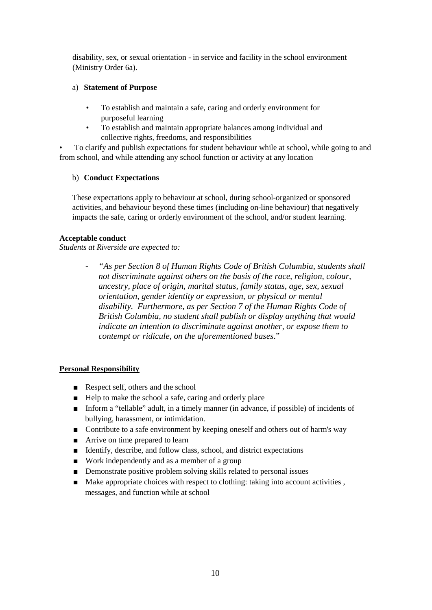disability, sex, or sexual orientation - in service and facility in the school environment (Ministry Order 6a).

## a) **Statement of Purpose**

- To establish and maintain a safe, caring and orderly environment for purposeful learning
- To establish and maintain appropriate balances among individual and collective rights, freedoms, and responsibilities

• To clarify and publish expectations for student behaviour while at school, while going to and from school, and while attending any school function or activity at any location

## b) **Conduct Expectations**

These expectations apply to behaviour at school, during school-organized or sponsored activities, and behaviour beyond these times (including on-line behaviour) that negatively impacts the safe, caring or orderly environment of the school, and/or student learning.

## **Acceptable conduct**

*Students at Riverside are expected to:*

*- "As per Section 8 of Human Rights Code of British Columbia, students shall not discriminate against others on the basis of the race, religion, colour, ancestry, place of origin, marital status, family status, age, sex, sexual orientation, gender identity or expression, or physical or mental disability. Furthermore, as per Section 7 of the Human Rights Code of British Columbia, no student shall publish or display anything that would indicate an intention to discriminate against another, or expose them to contempt or ridicule, on the aforementioned bases*."

## **Personal Responsibility**

- Respect self, others and the school
- Help to make the school a safe, caring and orderly place
- Inform a "tellable" adult, in a timely manner (in advance, if possible) of incidents of bullying, harassment, or intimidation.
- Contribute to a safe environment by keeping oneself and others out of harm's way
- Arrive on time prepared to learn
- Identify, describe, and follow class, school, and district expectations
- Work independently and as a member of a group
- Demonstrate positive problem solving skills related to personal issues
- Make appropriate choices with respect to clothing: taking into account activities, messages, and function while at school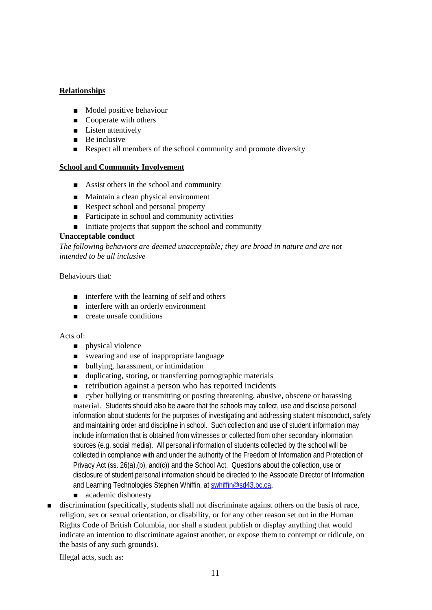## **Relationships**

- Model positive behaviour
- Cooperate with others
- Listen attentively
- Be inclusive
- Respect all members of the school community and promote diversity

## **School and Community Involvement**

- Assist others in the school and community
- Maintain a clean physical environment
- Respect school and personal property
- Participate in school and community activities
- Initiate projects that support the school and community

## **Unacceptable conduct**

*The following behaviors are deemed unacceptable; they are broad in nature and are not intended to be all inclusive*

Behaviours that:

- interfere with the learning of self and others
- interfere with an orderly environment
- create unsafe conditions

## Acts of:

- physical violence
- swearing and use of inappropriate language
- bullying, harassment, or intimidation
- duplicating, storing, or transferring pornographic materials
- retribution against a person who has reported incidents

■ cyber bullying or transmitting or posting threatening, abusive, obscene or harassing material. Students should also be aware that the schools may collect, use and disclose personal information about students for the purposes of investigating and addressing student misconduct, safety and maintaining order and discipline in school. Such collection and use of student information may include information that is obtained from witnesses or collected from other secondary information sources (e.g. social media). All personal information of students collected by the school will be collected in compliance with and under the authority of the Freedom of Information and Protection of Privacy Act (ss. 26(a),(b), and(c)) and the School Act. Questions about the collection, use or disclosure of student personal information should be directed to the Associate Director of Information and Learning Technologies Stephen Whiffin, at [swhiffin@sd43.bc.ca](mailto:swhiffin@sd43.bc.ca).

- academic dishonesty
- discrimination (specifically, students shall not discriminate against others on the basis of race, religion, sex or sexual orientation, or disability, or for any other reason set out in the Human Rights Code of British Columbia, nor shall a student publish or display anything that would indicate an intention to discriminate against another, or expose them to contempt or ridicule, on the basis of any such grounds).

Illegal acts, such as: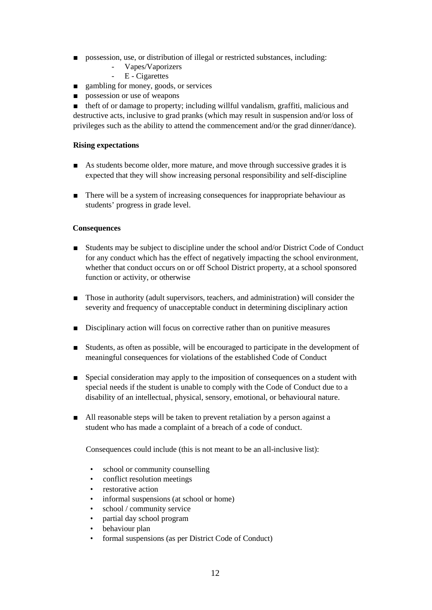- possession, use, or distribution of illegal or restricted substances, including:
	- Vapes/Vaporizers<br>- E Cigarettes
	- E Cigarettes
- gambling for money, goods, or services
- possession or use of weapons

■ theft of or damage to property; including willful vandalism, graffiti, malicious and destructive acts, inclusive to grad pranks (which may result in suspension and/or loss of privileges such as the ability to attend the commencement and/or the grad dinner/dance).

## **Rising expectations**

- As students become older, more mature, and move through successive grades it is expected that they will show increasing personal responsibility and self-discipline
- There will be a system of increasing consequences for inappropriate behaviour as students' progress in grade level.

## **Consequences**

- Students may be subject to discipline under the school and/or District Code of Conduct for any conduct which has the effect of negatively impacting the school environment, whether that conduct occurs on or off School District property, at a school sponsored function or activity, or otherwise
- Those in authority (adult supervisors, teachers, and administration) will consider the severity and frequency of unacceptable conduct in determining disciplinary action
- Disciplinary action will focus on corrective rather than on punitive measures
- Students, as often as possible, will be encouraged to participate in the development of meaningful consequences for violations of the established Code of Conduct
- Special consideration may apply to the imposition of consequences on a student with special needs if the student is unable to comply with the Code of Conduct due to a disability of an intellectual, physical, sensory, emotional, or behavioural nature.
- All reasonable steps will be taken to prevent retaliation by a person against a student who has made a complaint of a breach of a code of conduct.

Consequences could include (this is not meant to be an all-inclusive list):

- school or community counselling
- conflict resolution meetings
- restorative action
- informal suspensions (at school or home)
- school / community service
- partial day school program
- behaviour plan
- formal suspensions (as per District Code of Conduct)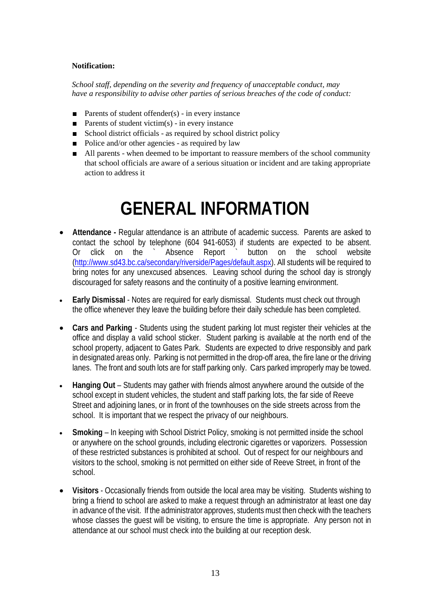## **Notification:**

*School staff, depending on the severity and frequency of unacceptable conduct, may have a responsibility to advise other parties of serious breaches of the code of conduct:*

- Parents of student offender $(s)$  in every instance
- **Parents of student victim(s)** in every instance
- School district officials as required by school district policy
- Police and/or other agencies as required by law
- All parents when deemed to be important to reassure members of the school community that school officials are aware of a serious situation or incident and are taking appropriate action to address it

# **GENERAL INFORMATION**

- **Attendance -** Regular attendance is an attribute of academic success. Parents are asked to contact the school by telephone (604 941-6053) if students are expected to be absent. Or click on the ` Absence Report ` button on the school website [\(http://www.sd43.bc.ca/secondary/riverside/Pages/default.aspx\)](http://www.sd43.bc.ca/secondary/riverside/Pages/default.aspx). All students will be required to bring notes for any unexcused absences. Leaving school during the school day is strongly discouraged for safety reasons and the continuity of a positive learning environment.
- **Early Dismissal** Notes are required for early dismissal. Students must check out through the office whenever they leave the building before their daily schedule has been completed.
- **Cars and Parking** Students using the student parking lot must register their vehicles at the office and display a valid school sticker. Student parking is available at the north end of the school property, adjacent to Gates Park. Students are expected to drive responsibly and park in designated areas only. Parking is not permitted in the drop-off area, the fire lane or the driving lanes. The front and south lots are for staff parking only. Cars parked improperly may be towed.
- **Hanging Out** Students may gather with friends almost anywhere around the outside of the school except in student vehicles, the student and staff parking lots, the far side of Reeve Street and adjoining lanes, or in front of the townhouses on the side streets across from the school. It is important that we respect the privacy of our neighbours.
- **Smoking** In keeping with School District Policy, smoking is not permitted inside the school or anywhere on the school grounds, including electronic cigarettes or vaporizers. Possession of these restricted substances is prohibited at school. Out of respect for our neighbours and visitors to the school, smoking is not permitted on either side of Reeve Street, in front of the school.
- **Visitors** Occasionally friends from outside the local area may be visiting. Students wishing to bring a friend to school are asked to make a request through an administrator at least one day in advance of the visit. If the administrator approves, students must then check with the teachers whose classes the guest will be visiting, to ensure the time is appropriate. Any person not in attendance at our school must check into the building at our reception desk.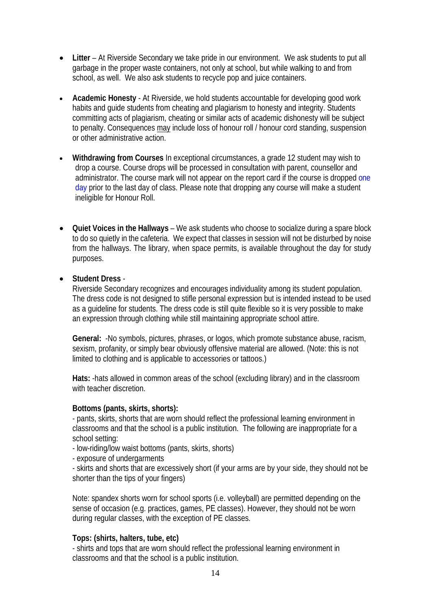- **Litter**  At Riverside Secondary we take pride in our environment. We ask students to put all garbage in the proper waste containers, not only at school, but while walking to and from school, as well. We also ask students to recycle pop and juice containers.
- **Academic Honesty**  At Riverside, we hold students accountable for developing good work habits and guide students from cheating and plagiarism to honesty and integrity. Students committing acts of plagiarism, cheating or similar acts of academic dishonesty will be subject to penalty. Consequences may include loss of honour roll / honour cord standing, suspension or other administrative action.
- **Withdrawing from Courses** In exceptional circumstances, a grade 12 student may wish to drop a course. Course drops will be processed in consultation with parent, counsellor and administrator. The course mark will not appear on the report card if the course is dropped one day prior to the last day of class. Please note that dropping any course will make a student ineligible for Honour Roll.
- **Quiet Voices in the Hallways** We ask students who choose to socialize during a spare block to do so quietly in the cafeteria. We expect that classes in session will not be disturbed by noise from the hallways. The library, when space permits, is available throughout the day for study purposes.

## • **Student Dress** -

Riverside Secondary recognizes and encourages individuality among its student population. The dress code is not designed to stifle personal expression but is intended instead to be used as a guideline for students. The dress code is still quite flexible so it is very possible to make an expression through clothing while still maintaining appropriate school attire.

**General:** -No symbols, pictures, phrases, or logos, which promote substance abuse, racism, sexism, profanity, or simply bear obviously offensive material are allowed. (Note: this is not limited to clothing and is applicable to accessories or tattoos.)

**Hats:** -hats allowed in common areas of the school (excluding library) and in the classroom with teacher discretion.

## **Bottoms (pants, skirts, shorts):**

- pants, skirts, shorts that are worn should reflect the professional learning environment in classrooms and that the school is a public institution. The following are inappropriate for a school setting:

- low-riding/low waist bottoms (pants, skirts, shorts)

- exposure of undergarments

- skirts and shorts that are excessively short (if your arms are by your side, they should not be shorter than the tips of your fingers)

Note: spandex shorts worn for school sports (i.e. volleyball) are permitted depending on the sense of occasion (e.g. practices, games, PE classes). However, they should not be worn during regular classes, with the exception of PE classes.

## **Tops: (shirts, halters, tube, etc)**

- shirts and tops that are worn should reflect the professional learning environment in classrooms and that the school is a public institution.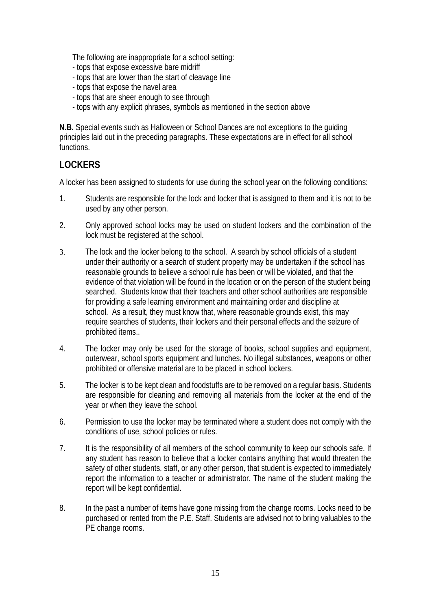The following are inappropriate for a school setting:

- tops that expose excessive bare midriff
- tops that are lower than the start of cleavage line
- tops that expose the navel area
- tops that are sheer enough to see through
- tops with any explicit phrases, symbols as mentioned in the section above

**N.B.** Special events such as Halloween or School Dances are not exceptions to the guiding principles laid out in the preceding paragraphs. These expectations are in effect for all school functions.

## **LOCKERS**

A locker has been assigned to students for use during the school year on the following conditions:

- 1. Students are responsible for the lock and locker that is assigned to them and it is not to be used by any other person.
- 2. Only approved school locks may be used on student lockers and the combination of the lock must be registered at the school.
- 3. The lock and the locker belong to the school. A search by school officials of a student under their authority or a search of student property may be undertaken if the school has reasonable grounds to believe a school rule has been or will be violated, and that the evidence of that violation will be found in the location or on the person of the student being searched. Students know that their teachers and other school authorities are responsible for providing a safe learning environment and maintaining order and discipline at school. As a result, they must know that, where reasonable grounds exist, this may require searches of students, their lockers and their personal effects and the seizure of prohibited items..
- 4. The locker may only be used for the storage of books, school supplies and equipment, outerwear, school sports equipment and lunches. No illegal substances, weapons or other prohibited or offensive material are to be placed in school lockers.
- 5. The locker is to be kept clean and foodstuffs are to be removed on a regular basis. Students are responsible for cleaning and removing all materials from the locker at the end of the year or when they leave the school.
- 6. Permission to use the locker may be terminated where a student does not comply with the conditions of use, school policies or rules.
- 7. It is the responsibility of all members of the school community to keep our schools safe. If any student has reason to believe that a locker contains anything that would threaten the safety of other students, staff, or any other person, that student is expected to immediately report the information to a teacher or administrator. The name of the student making the report will be kept confidential.
- 8. In the past a number of items have gone missing from the change rooms. Locks need to be purchased or rented from the P.E. Staff. Students are advised not to bring valuables to the PE change rooms.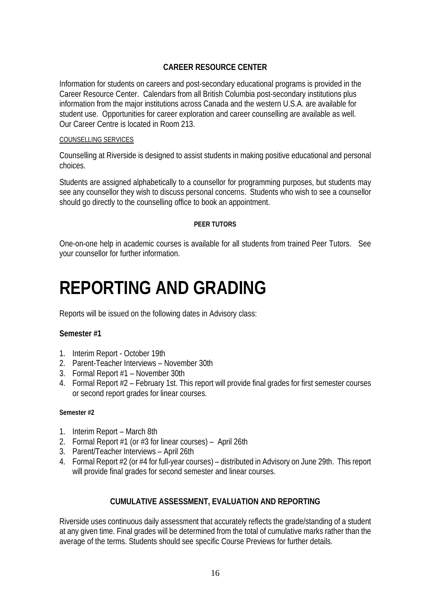## **CAREER RESOURCE CENTER**

Information for students on careers and post-secondary educational programs is provided in the Career Resource Center. Calendars from all British Columbia post-secondary institutions plus information from the major institutions across Canada and the western U.S.A. are available for student use. Opportunities for career exploration and career counselling are available as well. Our Career Centre is located in Room 213.

## COUNSELLING SERVICES

Counselling at Riverside is designed to assist students in making positive educational and personal choices.

Students are assigned alphabetically to a counsellor for programming purposes, but students may see any counsellor they wish to discuss personal concerns. Students who wish to see a counsellor should go directly to the counselling office to book an appointment.

## **PEER TUTORS**

One-on-one help in academic courses is available for all students from trained Peer Tutors. See your counsellor for further information.

# **REPORTING AND GRADING**

Reports will be issued on the following dates in Advisory class:

## **Semester #1**

- 1. Interim Report October 19th
- 2. Parent-Teacher Interviews November 30th
- 3. Formal Report #1 November 30th
- 4. Formal Report #2 February 1st. This report will provide final grades for first semester courses or second report grades for linear courses.

## **Semester #2**

- 1. Interim Report March 8th
- 2. Formal Report #1 (or #3 for linear courses) April 26th
- 3. Parent/Teacher Interviews April 26th
- 4. Formal Report #2 (or #4 for full-year courses) distributed in Advisory on June 29th. This report will provide final grades for second semester and linear courses.

## **CUMULATIVE ASSESSMENT, EVALUATION AND REPORTING**

Riverside uses continuous daily assessment that accurately reflects the grade/standing of a student at any given time. Final grades will be determined from the total of cumulative marks rather than the average of the terms. Students should see specific Course Previews for further details.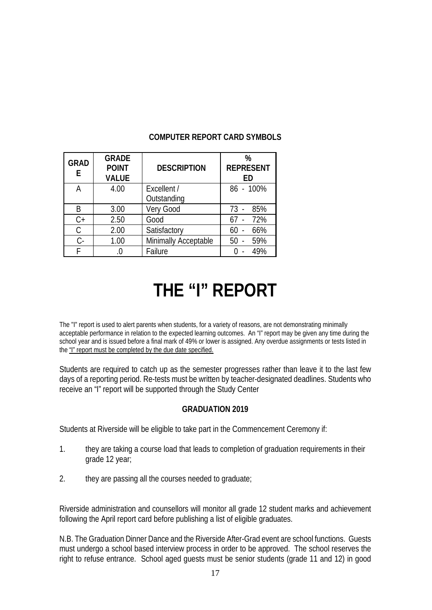| <b>GRAD</b><br>E | <b>GRADE</b><br><b>POINT</b><br><b>VALUE</b> | <b>DESCRIPTION</b>   | %<br><b>REPRESENT</b><br><b>ED</b> |
|------------------|----------------------------------------------|----------------------|------------------------------------|
| А                | 4.00                                         | Excellent /          | 86 - 100%                          |
|                  |                                              | Outstanding          |                                    |
| B                | 3.00                                         | Very Good            | 85%<br>$73 -$                      |
| $C+$             | 2.50                                         | Good                 | 72%                                |
| С                | 2.00                                         | Satisfactory         | 66%<br>60                          |
| C-               | 1.00                                         | Minimally Acceptable | 59%<br>50                          |
|                  |                                              | Failure              | 49%                                |

## **COMPUTER REPORT CARD SYMBOLS**

# **THE "I" REPORT**

The "I" report is used to alert parents when students, for a variety of reasons, are not demonstrating minimally acceptable performance in relation to the expected learning outcomes. An "I" report may be given any time during the school year and is issued before a final mark of 49% or lower is assigned. Any overdue assignments or tests listed in the "I" report must be completed by the due date specified.

Students are required to catch up as the semester progresses rather than leave it to the last few days of a reporting period. Re-tests must be written by teacher-designated deadlines. Students who receive an "I" report will be supported through the Study Center

## **GRADUATION 2019**

Students at Riverside will be eligible to take part in the Commencement Ceremony if:

- 1. they are taking a course load that leads to completion of graduation requirements in their grade 12 year;
- 2. they are passing all the courses needed to graduate;

Riverside administration and counsellors will monitor all grade 12 student marks and achievement following the April report card before publishing a list of eligible graduates.

N.B. The Graduation Dinner Dance and the Riverside After-Grad event are school functions. Guests must undergo a school based interview process in order to be approved. The school reserves the right to refuse entrance. School aged guests must be senior students (grade 11 and 12) in good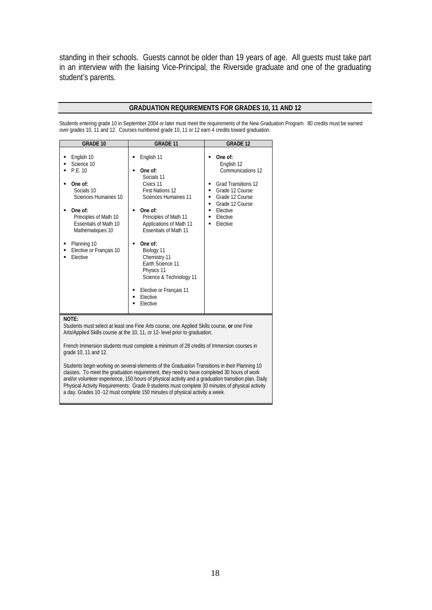standing in their schools. Guests cannot be older than 19 years of age. All guests must take part in an interview with the liaising Vice-Principal, the Riverside graduate and one of the graduating student's parents.

## **GRADUATION REQUIREMENTS FOR GRADES 10, 11 AND 12**

Students entering grade 10 in September 2004 or later must meet the requirements of the New Graduation Program. 80 credits must be earned over grades 10, 11 and 12. Courses numbered grade 10, 11 or 12 earn 4 credits toward graduation.

| <b>GRADE 10</b>                                                                                                                                                                                                                                                                                                                                                                                        | <b>GRADE 11</b>                                                                                                                                                                                                                                                                                                                                                                                                                          | <b>GRADE 12</b>                                                                                                                                                                                          |
|--------------------------------------------------------------------------------------------------------------------------------------------------------------------------------------------------------------------------------------------------------------------------------------------------------------------------------------------------------------------------------------------------------|------------------------------------------------------------------------------------------------------------------------------------------------------------------------------------------------------------------------------------------------------------------------------------------------------------------------------------------------------------------------------------------------------------------------------------------|----------------------------------------------------------------------------------------------------------------------------------------------------------------------------------------------------------|
| English 10<br>٠<br>Science 10<br>P.E. 10<br>One of:<br>Socials 10<br>Sciences Humaines 10<br>One of:<br>Principles of Math 10<br><b>Essentials of Math 10</b><br>Mathématiques 10<br>Planning 10<br>٠<br>Elective or Français 10<br>Elective                                                                                                                                                           | English 11<br>Е<br>One of:<br>$\blacksquare$<br>Socials 11<br>Civics 11<br><b>First Nations 12</b><br>Sciences Humaines 11<br>One of:<br>$\blacksquare$<br>Principles of Math 11<br>Applications of Math 11<br><b>Essentials of Math 11</b><br>One of:<br>$\blacksquare$<br>Biology 11<br>Chemistry 11<br>Earth Science 11<br>Physics 11<br>Science & Technology 11<br>Elective or Français 11<br>Elective<br>$\blacksquare$<br>Elective | One of:<br>English 12<br>Communications 12<br><b>Grad Transitions 12</b><br>٠<br>Grade 12 Course<br>٠<br>Grade 12 Course<br>٠<br>Grade 12 Course<br>٠<br>Elective<br>٠<br>Elective<br>٠<br>Elective<br>٠ |
| NOTE:<br>Students must select at least one Fine Arts course, one Applied Skills course, or one Fine<br>Arts/Applied Skills course at the 10, 11, or 12- level prior to graduation.<br>French Immersion students must complete a minimum of 28 credits of Immersion courses in<br>grade 10, 11 and 12.<br>Students begin working on several elements of the Graduation Transitions in their Planning 10 |                                                                                                                                                                                                                                                                                                                                                                                                                                          |                                                                                                                                                                                                          |
| classes. To meet the graduation requirement, they need to have completed 30 hours of work<br>and/or volunteer experience, 150 hours of physical activity and a graduation transition plan. Daily<br>Physical Activity Requirements: Grade 9 students must complete 30 minutes of physical activity                                                                                                     |                                                                                                                                                                                                                                                                                                                                                                                                                                          |                                                                                                                                                                                                          |

a day. Grades 10 -12 must complete 150 minutes of physical activity a week.

18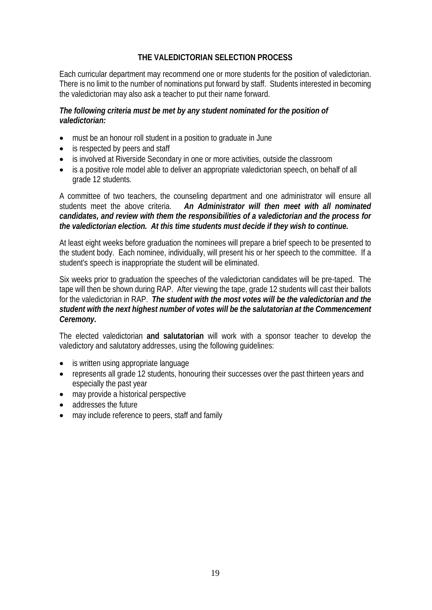## **THE VALEDICTORIAN SELECTION PROCESS**

Each curricular department may recommend one or more students for the position of valedictorian. There is no limit to the number of nominations put forward by staff. Students interested in becoming the valedictorian may also ask a teacher to put their name forward.

## *The following criteria must be met by any student nominated for the position of valedictorian:*

- must be an honour roll student in a position to graduate in June
- is respected by peers and staff
- is involved at Riverside Secondary in one or more activities, outside the classroom
- is a positive role model able to deliver an appropriate valedictorian speech, on behalf of all grade 12 students.

A committee of two teachers, the counseling department and one administrator will ensure all students meet the above criteria. *An Administrator will then meet with all nominated candidates, and review with them the responsibilities of a valedictorian and the process for the valedictorian election. At this time students must decide if they wish to continue.*

At least eight weeks before graduation the nominees will prepare a brief speech to be presented to the student body. Each nominee, individually, will present his or her speech to the committee. If a student's speech is inappropriate the student will be eliminated.

Six weeks prior to graduation the speeches of the valedictorian candidates will be pre-taped. The tape will then be shown during RAP. After viewing the tape, grade 12 students will cast their ballots for the valedictorian in RAP. *The student with the most votes will be the valedictorian and the student with the next highest number of votes will be the salutatorian at the Commencement Ceremony.*

The elected valedictorian **and salutatorian** will work with a sponsor teacher to develop the valedictory and salutatory addresses, using the following guidelines:

- is written using appropriate language
- represents all grade 12 students, honouring their successes over the past thirteen years and especially the past year
- may provide a historical perspective
- addresses the future
- may include reference to peers, staff and family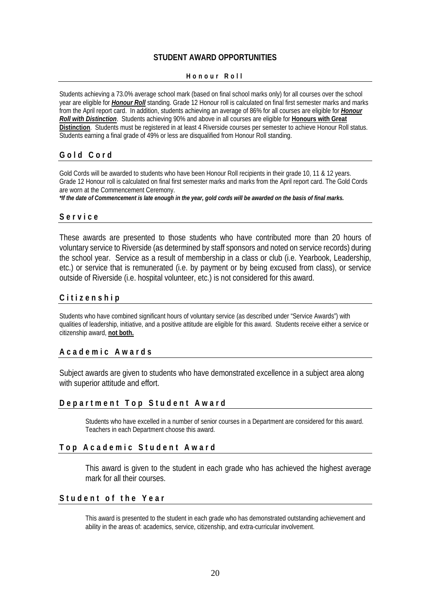## **STUDENT AWARD OPPORTUNITIES**

#### **Honour Roll**

Students achieving a 73.0% average school mark (based on final school marks only) for all courses over the school year are eligible for *Honour Roll* standing. Grade 12 Honour roll is calculated on final first semester marks and marks from the April report card. In addition, students achieving an average of 86% for all courses are eligible for *Honour Roll with Distinction*. Students achieving 90% and above in all courses are eligible for **Honours with Great Distinction**. Students must be registered in at least 4 Riverside courses per semester to achieve Honour Roll status. Students earning a final grade of 49% or less are disqualified from Honour Roll standing.

## **Gold Cord**

Gold Cords will be awarded to students who have been Honour Roll recipients in their grade 10, 11 & 12 years. Grade 12 Honour roll is calculated on final first semester marks and marks from the April report card. The Gold Cords are worn at the Commencement Ceremony.

*\*If the date of Commencement is late enough in the year, gold cords will be awarded on the basis of final marks.*

## **Service**

These awards are presented to those students who have contributed more than 20 hours of voluntary service to Riverside (as determined by staff sponsors and noted on service records) during the school year. Service as a result of membership in a class or club (i.e. Yearbook, Leadership, etc.) or service that is remunerated (i.e. by payment or by being excused from class), or service outside of Riverside (i.e. hospital volunteer, etc.) is not considered for this award.

## **Citizenship**

Students who have combined significant hours of voluntary service (as described under "Service Awards") with qualities of leadership, initiative, and a positive attitude are eligible for this award. Students receive either a service or citizenship award, **not both.**

## **Academic Awards**

Subject awards are given to students who have demonstrated excellence in a subject area along with superior attitude and effort.

## **Department Top Student Award**

Students who have excelled in a number of senior courses in a Department are considered for this award. Teachers in each Department choose this award.

## **Top Academic Student Award**

This award is given to the student in each grade who has achieved the highest average mark for all their courses.

## **Student of the Year**

This award is presented to the student in each grade who has demonstrated outstanding achievement and ability in the areas of: academics, service, citizenship, and extra-curricular involvement.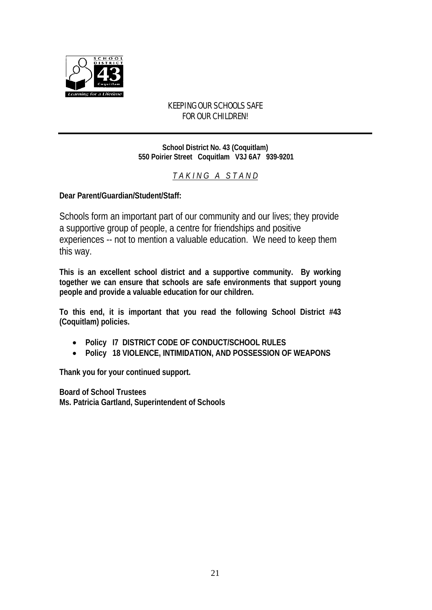

## KEEPING OUR SCHOOLS SAFE FOR OUR CHILDREN!

**School District No. 43 (Coquitlam) 550 Poirier Street Coquitlam V3J 6A7 939-9201**

*T A K I N G A S T A N D*

**Dear Parent/Guardian/Student/Staff:**

Schools form an important part of our community and our lives; they provide a supportive group of people, a centre for friendships and positive experiences -- not to mention a valuable education. We need to keep them this way.

**This is an excellent school district and a supportive community. By working together we can ensure that schools are safe environments that support young people and provide a valuable education for our children.**

**To this end, it is important that you read the following School District #43 (Coquitlam) policies.** 

- **Policy I7 DISTRICT CODE OF CONDUCT/SCHOOL RULES**
- **Policy 18 VIOLENCE, INTIMIDATION, AND POSSESSION OF WEAPONS**

**Thank you for your continued support.**

**Board of School Trustees Ms. Patricia Gartland, Superintendent of Schools**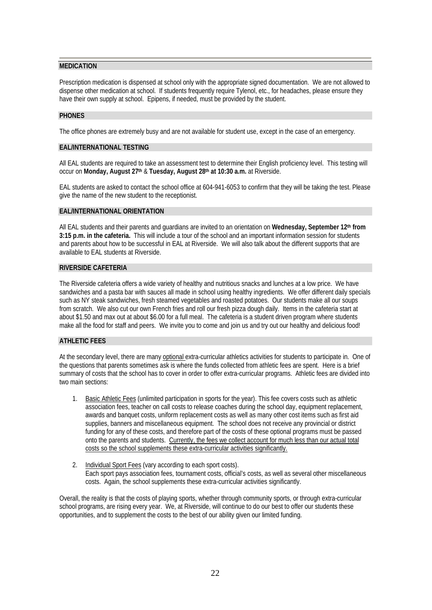#### **MEDICATION**

Prescription medication is dispensed at school only with the appropriate signed documentation. We are not allowed to dispense other medication at school. If students frequently require Tylenol, etc., for headaches, please ensure they have their own supply at school. Epipens, if needed, must be provided by the student.

#### **PHONES**

The office phones are extremely busy and are not available for student use, except in the case of an emergency.

#### **EAL/INTERNATIONAL TESTING**

All EAL students are required to take an assessment test to determine their English proficiency level. This testing will occur on **Monday, August 27th** & **Tuesday, August 28th at 10:30 a.m.** at Riverside.

EAL students are asked to contact the school office at 604-941-6053 to confirm that they will be taking the test. Please give the name of the new student to the receptionist.

#### **EAL/INTERNATIONAL ORIENTATION**

All EAL students and their parents and guardians are invited to an orientation on **Wednesday, September 12th from 3:15 p.m. in the cafeteria.** This will include a tour of the school and an important information session for students and parents about how to be successful in EAL at Riverside. We will also talk about the different supports that are available to EAL students at Riverside.

#### **RIVERSIDE CAFETERIA**

The Riverside cafeteria offers a wide variety of healthy and nutritious snacks and lunches at a low price. We have sandwiches and a pasta bar with sauces all made in school using healthy ingredients. We offer different daily specials such as NY steak sandwiches, fresh steamed vegetables and roasted potatoes. Our students make all our soups from scratch. We also cut our own French fries and roll our fresh pizza dough daily. Items in the cafeteria start at about \$1.50 and max out at about \$6.00 for a full meal. The cafeteria is a student driven program where students make all the food for staff and peers. We invite you to come and join us and try out our healthy and delicious food!

## **ATHLETIC FEES**

At the secondary level, there are many optional extra-curricular athletics activities for students to participate in. One of the questions that parents sometimes ask is where the funds collected from athletic fees are spent. Here is a brief summary of costs that the school has to cover in order to offer extra-curricular programs. Athletic fees are divided into two main sections:

- 1. Basic Athletic Fees (unlimited participation in sports for the year). This fee covers costs such as athletic association fees, teacher on call costs to release coaches during the school day, equipment replacement, awards and banquet costs, uniform replacement costs as well as many other cost items such as first aid supplies, banners and miscellaneous equipment. The school does not receive any provincial or district funding for any of these costs, and therefore part of the costs of these optional programs must be passed onto the parents and students. Currently, the fees we collect account for much less than our actual total costs so the school supplements these extra-curricular activities significantly.
- 2. Individual Sport Fees (vary according to each sport costs). Each sport pays association fees, tournament costs, official's costs, as well as several other miscellaneous costs. Again, the school supplements these extra-curricular activities significantly.

Overall, the reality is that the costs of playing sports, whether through community sports, or through extra-curricular school programs, are rising every year. We, at Riverside, will continue to do our best to offer our students these opportunities, and to supplement the costs to the best of our ability given our limited funding.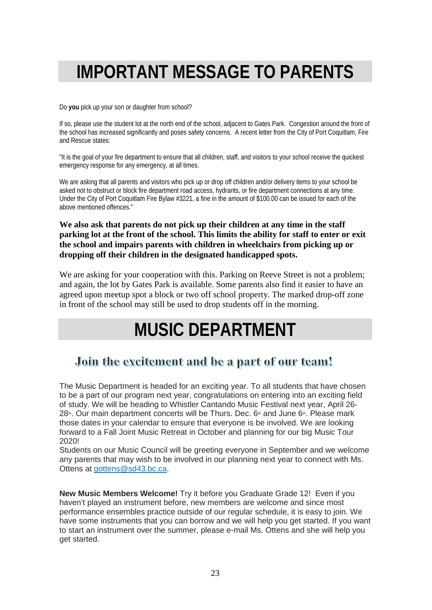# **IMPORTANT MESSAGE TO PARENTS**

Do **you** pick up your son or daughter from school?

If so, please use the student lot at the north end of the school, adjacent to Gates Park. Congestion around the front of the school has increased significantly and poses safety concerns. A recent letter from the City of Port Coquitlam, Fire and Rescue states:

"It is the goal of your fire department to ensure that all children, staff, and visitors to your school receive the quickest emergency response for any emergency, at all times.

We are asking that all parents and visitors who pick up or drop off children and/or delivery items to your school be asked not to obstruct or block fire department road access, hydrants, or fire department connections at any time. Under the City of Port Coquitlam Fire Bylaw #3221, a fine in the amount of \$100.00 can be issued for each of the above mentioned offences."

## **We also ask that parents do not pick up their children at any time in the staff parking lot at the front of the school. This limits the ability for staff to enter or exit the school and impairs parents with children in wheelchairs from picking up or dropping off their children in the designated handicapped spots.**

We are asking for your cooperation with this. Parking on Reeve Street is not a problem; and again, the lot by Gates Park is available. Some parents also find it easier to have an agreed upon meetup spot a block or two off school property. The marked drop-off zone in front of the school may still be used to drop students off in the morning.

# **MUSIC DEPARTMENT**

## Join the excitement and be a part of our team!

The Music Department is headed for an exciting year. To all students that have chosen to be a part of our program next year, congratulations on entering into an exciting field of study. We will be heading to Whistler Cantando Music Festival next year, April 26- 28<sup>th</sup>. Our main department concerts will be Thurs. Dec.  $6<sup>th</sup>$  and June  $6<sup>th</sup>$ . Please mark those dates in your calendar to ensure that everyone is be involved. We are looking forward to a Fall Joint Music Retreat in October and planning for our big Music Tour 2020!

Students on our Music Council will be greeting everyone in September and we welcome any parents that may wish to be involved in our planning next year to connect with Ms. Ottens at [gottens@sd43.bc.ca.](mailto:gottens@sd43.bc.ca)

**New Music Members Welcome!** Try it before you Graduate Grade 12! Even if you haven't played an instrument before, new members are welcome and since most performance ensembles practice outside of our regular schedule, it is easy to join. We have some instruments that you can borrow and we will help you get started. If you want to start an instrument over the summer, please e-mail Ms. Ottens and she will help you get started.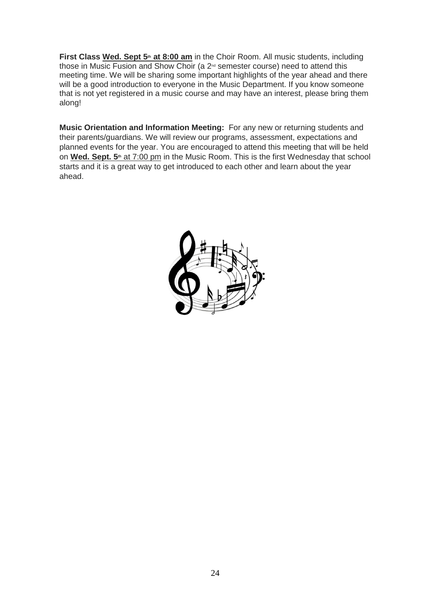First Class Wed. Sept 5<sup>th</sup> at 8:00 am in the Choir Room. All music students, including those in Music Fusion and Show Choir (a 2<sup>nd</sup> semester course) need to attend this meeting time. We will be sharing some important highlights of the year ahead and there will be a good introduction to everyone in the Music Department. If you know someone that is not yet registered in a music course and may have an interest, please bring them along!

**Music Orientation and Information Meeting:** For any new or returning students and their parents/guardians. We will review our programs, assessment, expectations and planned events for the year. You are encouraged to attend this meeting that will be held on **Wed. Sept. 5<sup>th</sup> at 7:00 pm** in the Music Room. This is the first Wednesday that school starts and it is a great way to get introduced to each other and learn about the year ahead.